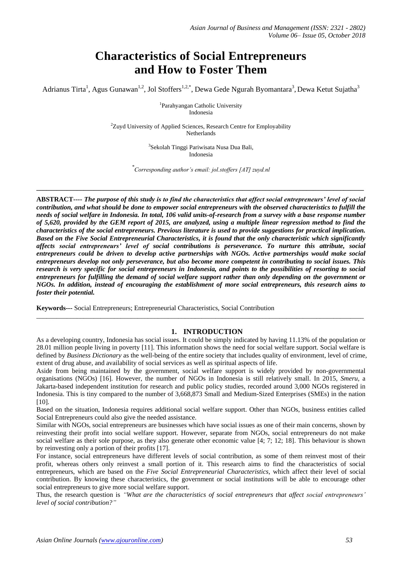# **Characteristics of Social Entrepreneurs and How to Foster Them**

Adrianus Tirta<sup>1</sup>, Agus Gunawan<sup>1,2</sup>, Jol Stoffers<sup>1,2,\*</sup>, Dewa Gede Ngurah Byomantara<sup>3</sup>, Dewa Ketut Sujatha<sup>3</sup>

1 Parahyangan Catholic University Indonesia

<sup>2</sup>Zuyd University of Applied Sciences, Research Centre for Employability Netherlands

> 3 Sekolah Tinggi Pariwisata Nusa Dua Bali, Indonesia

*\* Corresponding author's email: jol.stoffers [AT] zuyd.nl*

**\_\_\_\_\_\_\_\_\_\_\_\_\_\_\_\_\_\_\_\_\_\_\_\_\_\_\_\_\_\_\_\_\_\_\_\_\_\_\_\_\_\_\_\_\_\_\_\_\_\_\_\_\_\_\_\_\_\_\_\_\_\_\_\_\_\_\_\_\_\_\_\_\_\_\_\_\_\_\_\_\_\_\_\_\_\_\_\_\_\_\_\_\_\_\_\_\_**

**ABSTRACT----** *The purpose of this study is to find the characteristics that affect social entrepreneurs' level of social contribution, and what should be done to empower social entrepreneurs with the observed characteristics to fulfill the needs of social welfare in Indonesia. In total, 106 valid units-of-research from a survey with a base response number of 5,620, provided by the GEM report of 2015, are analyzed, using a multiple linear regression method to find the characteristics of the social entrepreneurs. Previous literature is used to provide suggestions for practical implication. Based on the Five Social Entrepreneurial Characteristics, it is found that the only characteristic which significantly affects social entrepreneurs' level of social contributions is perseverance. To nurture this attribute, social entrepreneurs could be driven to develop active partnerships with NGOs. Active partnerships would make social entrepreneurs develop not only perseverance, but also become more competent in contributing to social issues. This*  research is very specific for social entrepreneurs in Indonesia, and points to the possibilities of resorting to social *entrepreneurs for fulfilling the demand of social welfare support rather than only depending on the government or NGOs. In addition, instead of encouraging the establishment of more social entrepreneurs, this research aims to foster their potential.*

**Keywords---** Social Entrepreneurs; Entrepreneurial Characteristics, Social Contribution

## **1. INTRODUCTION**

As a developing country, Indonesia has social issues. It could be simply indicated by having 11.13% of the population or 28.01 million people living in poverty [11]. This information shows the need for social welfare support. Social welfare is defined by *Business Dictionary* as the well-being of the entire society that includes quality of environment, level of crime, extent of drug abuse, and availability of social services as well as spiritual aspects of life.

\_\_\_\_\_\_\_\_\_\_\_\_\_\_\_\_\_\_\_\_\_\_\_\_\_\_\_\_\_\_\_\_\_\_\_\_\_\_\_\_\_\_\_\_\_\_\_\_\_\_\_\_\_\_\_\_\_\_\_\_\_\_\_\_\_\_\_\_\_\_\_\_\_\_\_\_\_\_\_\_\_\_\_\_\_\_\_\_\_\_\_\_\_\_\_\_\_

Aside from being maintained by the government, social welfare support is widely provided by non-governmental organisations (NGOs) [16]. However, the number of NGOs in Indonesia is still relatively small. In 2015, *Smeru*, a Jakarta-based independent institution for research and public policy studies, recorded around 3,000 NGOs registered in Indonesia. This is tiny compared to the number of 3,668,873 Small and Medium-Sized Enterprises (SMEs) in the nation [10].

Based on the situation, Indonesia requires additional social welfare support. Other than NGOs, business entities called Social Entrepreneurs could also give the needed assistance.

Similar with NGOs, social entrepreneurs are businesses which have social issues as one of their main concerns, shown by reinvesting their profit into social welfare support. However, separate from NGOs, social entrepreneurs do not make social welfare as their sole purpose, as they also generate other economic value [4; 7; 12; 18]. This behaviour is shown by reinvesting only a portion of their profits [17].

For instance, social entrepreneurs have different levels of social contribution, as some of them reinvest most of their profit, whereas others only reinvest a small portion of it. This research aims to find the characteristics of social entrepreneurs, which are based on the *Five Social Entrepreneurial Characteristics*, which affect their level of social contribution. By knowing these characteristics, the government or social institutions will be able to encourage other social entrepreneurs to give more social welfare support.

Thus, the research question is *"What are the characteristics of social entrepreneurs that affect social entrepreneurs' level of social contribution?"*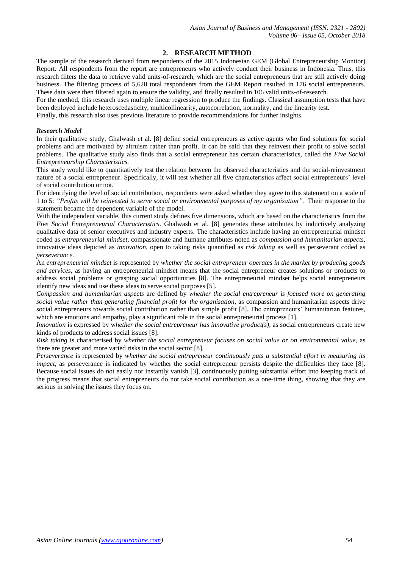# **2. RESEARCH METHOD**

The sample of the research derived from respondents of the 2015 Indonesian GEM (Global Entrepreneurship Monitor) Report. All respondents from the report are entrepreneurs who actively conduct their business in Indonesia. Thus, this research filters the data to retrieve valid units-of-research, which are the social entrepreneurs that are still actively doing business. The filtering process of 5,620 total respondents from the GEM Report resulted in 176 social entrepreneurs. These data were then filtered again to ensure the validity, and finally resulted in 106 valid units-of-research.

For the method, this research uses multiple linear regression to produce the findings. Classical assumption tests that have been deployed include heteroscedasticity, multicollinearity, autocorrelation, normality, and the linearity test.

Finally, this research also uses previous literature to provide recommendations for further insights.

## *Research Model*

In their qualitative study, Ghalwash et al. [8] define social entrepreneurs as active agents who find solutions for social problems and are motivated by altruism rather than profit. It can be said that they reinvest their profit to solve social problems. The qualitative study also finds that a social entrepreneur has certain characteristics, called the *Five Social Entrepreneurship Characteristics.*

This study would like to quantitatively test the relation between the observed characteristics and the social-reinvestment nature of a social entrepreneur. Specifically, it will test whether all five characteristics affect social entrepreneurs' level of social contribution or not.

For identifying the level of social contribution, respondents were asked whether they agree to this statement on a scale of 1 to 5: *"Profits will be reinvested to serve social or environmental purposes of my organisation"*. Their response to the statement became the dependent variable of the model.

With the independent variable, this current study defines five dimensions, which are based on the characteristics from the *Five Social Entrepreneurial Characteristics*. Ghalwash et al. [8] generates these attributes by inductively analyzing qualitative data of senior executives and industry experts. The characteristics include having an entrepreneurial mindset coded as *entrepreneurial mindset,* compassionate and humane attributes noted as *compassion and humanitarian aspects,* innovative ideas depicted as *innovation,* open to taking risks quantified as *risk taking* as well as perseverant coded as *perseverance.* 

An *entrepreneurial mindset* is represented by *whether the social entrepreneur operates in the market by producing goods and services,* as having an entrepreneurial mindset means that the social entrepreneur creates solutions or products to address social problems or grasping social opportunities [8]. The entrepreneurial mindset helps social entrepreneurs identify new ideas and use these ideas to serve social purposes [5].

*Compassion and humanitarian aspects* are defined by *whether the social entrepreneur is focused more on generating social value rather than generating financial profit for the organisation,* as compassion and humanitarian aspects drive social entrepreneurs towards social contribution rather than simple profit [8]. The entrepreneurs' humanitarian features, which are emotions and empathy, play a significant role in the social entrepreneurial process [1].

*Innovation* is expressed by w*hether the social entrepreneur has innovative product(s),* as social entrepreneurs create new kinds of products to address social issues [8].

*Risk taking* is characterised by *whether the social entrepreneur focuses on social value or on environmental value,* as there are greater and more varied risks in the social sector [8].

*Perseverance* is represented by *whether the social entrepreneur continuously puts a substantial effort in measuring its impact*, as perseverance is indicated by whether the social entrepreneur persists despite the difficulties they face [8]. Because social issues do not easily nor instantly vanish [3], continuously putting substantial effort into keeping track of the progress means that social entrepreneurs do not take social contribution as a one-time thing, showing that they are serious in solving the issues they focus on.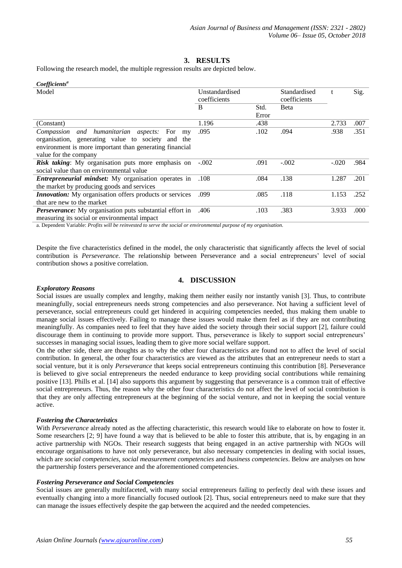## **3. RESULTS**

Following the research model, the multiple regression results are depicted below.

| Coefficients <sup>a</sup>                                                                                                                                                                                                                                    |                |       |              |         |      |
|--------------------------------------------------------------------------------------------------------------------------------------------------------------------------------------------------------------------------------------------------------------|----------------|-------|--------------|---------|------|
| Model                                                                                                                                                                                                                                                        | Unstandardised |       | Standardised | t       | Sig. |
|                                                                                                                                                                                                                                                              | coefficients   |       | coefficients |         |      |
|                                                                                                                                                                                                                                                              | B              | Std.  | Beta         |         |      |
|                                                                                                                                                                                                                                                              |                | Error |              |         |      |
| (Constant)                                                                                                                                                                                                                                                   | 1.196          | .438  |              | 2.733   | .007 |
| Compassion and humanitarian aspects:<br>For<br>my                                                                                                                                                                                                            | .095           | .102  | .094         | .938    | .351 |
| organisation, generating value to society and<br>the                                                                                                                                                                                                         |                |       |              |         |      |
| environment is more important than generating financial                                                                                                                                                                                                      |                |       |              |         |      |
| value for the company                                                                                                                                                                                                                                        |                |       |              |         |      |
| Risk taking: My organisation puts more emphasis on                                                                                                                                                                                                           | $-.002$        | .091  | $-.002$      | $-.020$ | .984 |
| social value than on environmental value                                                                                                                                                                                                                     |                |       |              |         |      |
| <b>Entrepreneurial mindset:</b> My organisation operates in                                                                                                                                                                                                  | .108           | .084  | .138         | 1.287   | .201 |
| the market by producing goods and services                                                                                                                                                                                                                   |                |       |              |         |      |
| <i>Innovation:</i> My organisation offers products or services                                                                                                                                                                                               | .099           | .085  | .118         | 1.153   | .252 |
| that are new to the market                                                                                                                                                                                                                                   |                |       |              |         |      |
| Perseverance: My organisation puts substantial effort in                                                                                                                                                                                                     | .406           | .103  | .383         | 3.933   | .000 |
| $\mathcal{L} = \{ \mathcal{L} \mid \mathcal{L} \in \mathcal{L} \}$ . The contract of the contract of the contract of the contract of the contract of the contract of the contract of the contract of the contract of the contract of the contract of the con |                |       |              |         |      |

measuring its social or environmental impact

a. Dependent Variable: *Profits will be reinvested to serve the social or environmental purpose of my organisation.*

Despite the five characteristics defined in the model, the only characteristic that significantly affects the level of social contribution is *Perseverance*. The relationship between Perseverance and a social entrepreneurs' level of social contribution shows a positive correlation.

## **4. DISCUSSION**

#### *Exploratory Reasons*

Social issues are usually complex and lengthy, making them neither easily nor instantly vanish [3]. Thus, to contribute meaningfully, social entrepreneurs needs strong competencies and also perseverance. Not having a sufficient level of perseverance, social entrepreneurs could get hindered in acquiring competencies needed, thus making them unable to manage social issues effectively. Failing to manage these issues would make them feel as if they are not contributing meaningfully. As companies need to feel that they have aided the society through their social support [2], failure could discourage them in continuing to provide more support. Thus, perseverance is likely to support social entrepreneurs' successes in managing social issues, leading them to give more social welfare support.

On the other side, there are thoughts as to why the other four characteristics are found not to affect the level of social contribution. In general, the other four characteristics are viewed as the attributes that an entrepreneur needs to start a social venture, but it is only *Perseverance* that keeps social entrepreneurs continuing this contribution [8]. Perseverance is believed to give social entrepreneurs the needed endurance to keep providing social contributions while remaining positive [13]. Phills et al. [14] also supports this argument by suggesting that perseverance is a common trait of effective social entrepreneurs. Thus, the reason why the other four characteristics do not affect the level of social contribution is that they are only affecting entrepreneurs at the beginning of the social venture, and not in keeping the social venture active.

#### *Fostering the Characteristics*

With *Perseverance* already noted as the affecting characteristic, this research would like to elaborate on how to foster it. Some researchers [2; 9] have found a way that is believed to be able to foster this attribute, that is, by engaging in an active partnership with NGOs. Their research suggests that being engaged in an active partnership with NGOs will encourage organisations to have not only perseverance, but also necessary competencies in dealing with social issues, which are *social competencies*, *social measurement competencies* and *business competencies*. Below are analyses on how the partnership fosters perseverance and the aforementioned competencies.

#### *Fostering Perseverance and Social Competencies*

Social issues are generally multifaceted, with many social entrepreneurs failing to perfectly deal with these issues and eventually changing into a more financially focused outlook [2]. Thus, social entrepreneurs need to make sure that they can manage the issues effectively despite the gap between the acquired and the needed competencies.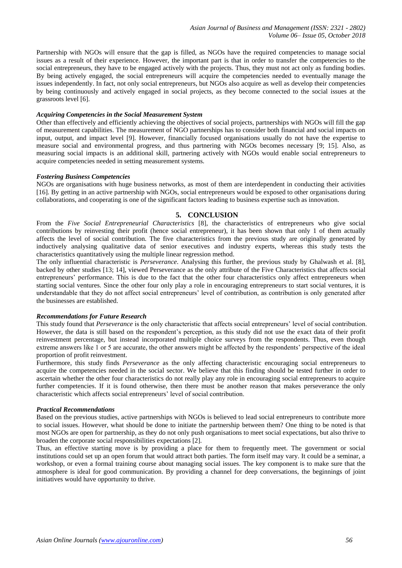Partnership with NGOs will ensure that the gap is filled, as NGOs have the required competencies to manage social issues as a result of their experience. However, the important part is that in order to transfer the competencies to the social entrepreneurs, they have to be engaged actively with the projects. Thus, they must not act only as funding bodies. By being actively engaged, the social entrepreneurs will acquire the competencies needed to eventually manage the issues independently. In fact, not only social entrepreneurs, but NGOs also acquire as well as develop their competencies by being continuously and actively engaged in social projects, as they become connected to the social issues at the grassroots level [6].

#### *Acquiring Competencies in the Social Measurement System*

Other than effectively and efficiently achieving the objectives of social projects, partnerships with NGOs will fill the gap of measurement capabilities. The measurement of NGO partnerships has to consider both financial and social impacts on input, output, and impact level [9]. However, financially focused organisations usually do not have the expertise to measure social and environmental progress, and thus partnering with NGOs becomes necessary [9; 15]. Also, as measuring social impacts is an additional skill, partnering actively with NGOs would enable social entrepreneurs to acquire competencies needed in setting measurement systems.

## *Fostering Business Competencies*

NGOs are organisations with huge business networks, as most of them are interdependent in conducting their activities [16]. By getting in an active partnership with NGOs, social entrepreneurs would be exposed to other organisations during collaborations, and cooperating is one of the significant factors leading to business expertise such as innovation.

## **5. CONCLUSION**

From the *Five Social Entrepreneurial Characteristics* [8], the characteristics of entrepreneurs who give social contributions by reinvesting their profit (hence social entrepreneur), it has been shown that only 1 of them actually affects the level of social contribution. The five characteristics from the previous study are originally generated by inductively analysing qualitative data of senior executives and industry experts, whereas this study tests the characteristics quantitatively using the multiple linear regression method.

The only influential characteristic is *Perseverance*. Analysing this further, the previous study by Ghalwash et al. [8], backed by other studies [13; 14], viewed Perseverance as the only attribute of the Five Characteristics that affects social entrepreneurs' performance. This is due to the fact that the other four characteristics only affect entrepreneurs when starting social ventures. Since the other four only play a role in encouraging entrepreneurs to start social ventures, it is understandable that they do not affect social entrepreneurs' level of contribution, as contribution is only generated after the businesses are established.

## *Recommendations for Future Research*

This study found that *Perseverance* is the only characteristic that affects social entrepreneurs' level of social contribution. However, the data is still based on the respondent's perception, as this study did not use the exact data of their profit reinvestment percentage, but instead incorporated multiple choice surveys from the respondents. Thus, even though extreme answers like 1 or 5 are accurate, the other answers might be affected by the respondents' perspective of the ideal proportion of profit reinvestment.

Furthermore, this study finds *Perseverance* as the only affecting characteristic encouraging social entrepreneurs to acquire the competencies needed in the social sector. We believe that this finding should be tested further in order to ascertain whether the other four characteristics do not really play any role in encouraging social entrepreneurs to acquire further competencies. If it is found otherwise, then there must be another reason that makes perseverance the only characteristic which affects social entrepreneurs' level of social contribution.

#### *Practical Recommendations*

Based on the previous studies, active partnerships with NGOs is believed to lead social entrepreneurs to contribute more to social issues. However, what should be done to initiate the partnership between them? One thing to be noted is that most NGOs are open for partnership, as they do not only push organisations to meet social expectations, but also thrive to broaden the corporate social responsibilities expectations [2].

Thus, an effective starting move is by providing a place for them to frequently meet. The government or social institutions could set up an open forum that would attract both parties. The form itself may vary. It could be a seminar, a workshop, or even a formal training course about managing social issues. The key component is to make sure that the atmosphere is ideal for good communication. By providing a channel for deep conversations, the beginnings of joint initiatives would have opportunity to thrive.